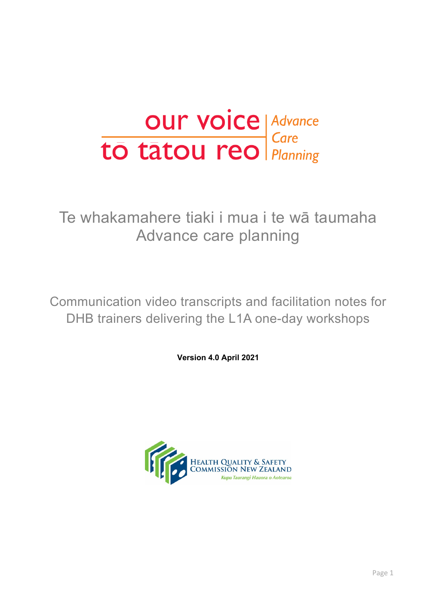

# Te whakamahere tiaki i mua i te wā taumaha Advance care planning

Communication video transcripts and facilitation notes for DHB trainers delivering the L1A one-day workshops

**Version 4.0 April 2021**

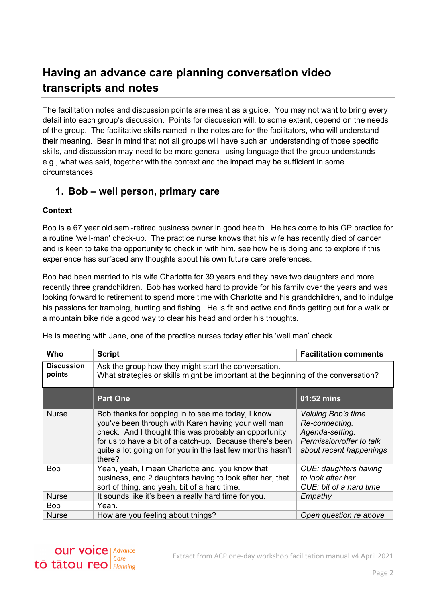# **Having an advance care planning conversation video transcripts and notes**

The facilitation notes and discussion points are meant as a guide. You may not want to bring every detail into each group's discussion. Points for discussion will, to some extent, depend on the needs of the group. The facilitative skills named in the notes are for the facilitators, who will understand their meaning. Bear in mind that not all groups will have such an understanding of those specific skills, and discussion may need to be more general, using language that the group understands – e.g., what was said, together with the context and the impact may be sufficient in some circumstances.

### **1. Bob – well person, primary care**

#### **Context**

Bob is a 67 year old semi-retired business owner in good health. He has come to his GP practice for a routine 'well-man' check-up. The practice nurse knows that his wife has recently died of cancer and is keen to take the opportunity to check in with him, see how he is doing and to explore if this experience has surfaced any thoughts about his own future care preferences.

Bob had been married to his wife Charlotte for 39 years and they have two daughters and more recently three grandchildren. Bob has worked hard to provide for his family over the years and was looking forward to retirement to spend more time with Charlotte and his grandchildren, and to indulge his passions for tramping, hunting and fishing. He is fit and active and finds getting out for a walk or a mountain bike ride a good way to clear his head and order his thoughts.

| Who                         | <b>Script</b>                                                                                                                                                                                                                                                                                         | <b>Facilitation comments</b>                                                                                    |
|-----------------------------|-------------------------------------------------------------------------------------------------------------------------------------------------------------------------------------------------------------------------------------------------------------------------------------------------------|-----------------------------------------------------------------------------------------------------------------|
| <b>Discussion</b><br>points | Ask the group how they might start the conversation.<br>What strategies or skills might be important at the beginning of the conversation?                                                                                                                                                            |                                                                                                                 |
|                             | <b>Part One</b>                                                                                                                                                                                                                                                                                       | 01:52 mins                                                                                                      |
| <b>Nurse</b>                | Bob thanks for popping in to see me today, I know<br>you've been through with Karen having your well man<br>check. And I thought this was probably an opportunity<br>for us to have a bit of a catch-up. Because there's been<br>quite a lot going on for you in the last few months hasn't<br>there? | Valuing Bob's time.<br>Re-connecting.<br>Agenda-setting.<br>Permission/offer to talk<br>about recent happenings |
| <b>Bob</b>                  | Yeah, yeah, I mean Charlotte and, you know that<br>business, and 2 daughters having to look after her, that<br>sort of thing, and yeah, bit of a hard time.                                                                                                                                           | CUE: daughters having<br>to look after her<br>CUE: bit of a hard time                                           |
| <b>Nurse</b>                | It sounds like it's been a really hard time for you.                                                                                                                                                                                                                                                  | Empathy                                                                                                         |
| <b>Bob</b>                  | Yeah.                                                                                                                                                                                                                                                                                                 |                                                                                                                 |
| <b>Nurse</b>                | How are you feeling about things?                                                                                                                                                                                                                                                                     | Open question re above                                                                                          |

He is meeting with Jane, one of the practice nurses today after his 'well man' check.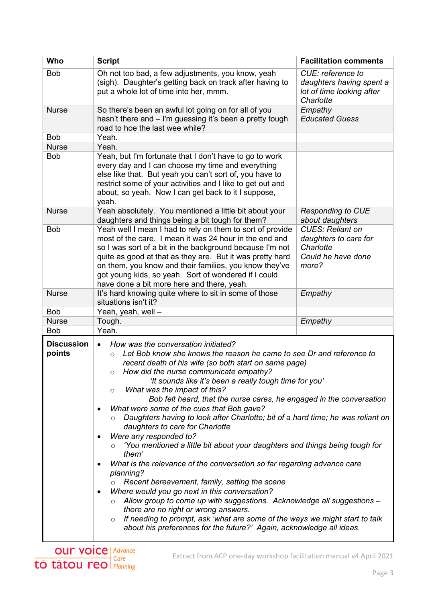| Who                         | <b>Script</b>                                                                                                                                                                                                                                                                                                                                                                                                                                                                                                                                                                                                                                                                                                                                                                                                                                                                                                                                                                                                                                                                                                                                                                                                        | <b>Facilitation comments</b>                                                                 |
|-----------------------------|----------------------------------------------------------------------------------------------------------------------------------------------------------------------------------------------------------------------------------------------------------------------------------------------------------------------------------------------------------------------------------------------------------------------------------------------------------------------------------------------------------------------------------------------------------------------------------------------------------------------------------------------------------------------------------------------------------------------------------------------------------------------------------------------------------------------------------------------------------------------------------------------------------------------------------------------------------------------------------------------------------------------------------------------------------------------------------------------------------------------------------------------------------------------------------------------------------------------|----------------------------------------------------------------------------------------------|
| <b>Bob</b>                  | Oh not too bad, a few adjustments, you know, yeah<br>(sigh). Daughter's getting back on track after having to<br>put a whole lot of time into her, mmm.                                                                                                                                                                                                                                                                                                                                                                                                                                                                                                                                                                                                                                                                                                                                                                                                                                                                                                                                                                                                                                                              | CUE: reference to<br>daughters having spent a<br>lot of time looking after<br>Charlotte      |
| <b>Nurse</b>                | So there's been an awful lot going on for all of you<br>hasn't there and - I'm guessing it's been a pretty tough<br>road to hoe the last wee while?                                                                                                                                                                                                                                                                                                                                                                                                                                                                                                                                                                                                                                                                                                                                                                                                                                                                                                                                                                                                                                                                  | Empathy<br><b>Educated Guess</b>                                                             |
| <b>Bob</b>                  | Yeah.                                                                                                                                                                                                                                                                                                                                                                                                                                                                                                                                                                                                                                                                                                                                                                                                                                                                                                                                                                                                                                                                                                                                                                                                                |                                                                                              |
| <b>Nurse</b>                | Yeah.                                                                                                                                                                                                                                                                                                                                                                                                                                                                                                                                                                                                                                                                                                                                                                                                                                                                                                                                                                                                                                                                                                                                                                                                                |                                                                                              |
| <b>Bob</b>                  | Yeah, but I'm fortunate that I don't have to go to work<br>every day and I can choose my time and everything<br>else like that. But yeah you can't sort of, you have to<br>restrict some of your activities and I like to get out and<br>about, so yeah. Now I can get back to it I suppose,<br>yeah.                                                                                                                                                                                                                                                                                                                                                                                                                                                                                                                                                                                                                                                                                                                                                                                                                                                                                                                |                                                                                              |
| <b>Nurse</b>                | Yeah absolutely. You mentioned a little bit about your<br>daughters and things being a bit tough for them?                                                                                                                                                                                                                                                                                                                                                                                                                                                                                                                                                                                                                                                                                                                                                                                                                                                                                                                                                                                                                                                                                                           | <b>Responding to CUE</b><br>about daughters                                                  |
| <b>Bob</b>                  | Yeah well I mean I had to rely on them to sort of provide<br>most of the care. I mean it was 24 hour in the end and<br>so I was sort of a bit in the background because I'm not<br>quite as good at that as they are. But it was pretty hard<br>on them, you know and their families, you know they've<br>got young kids, so yeah. Sort of wondered if I could<br>have done a bit more here and there, yeah.                                                                                                                                                                                                                                                                                                                                                                                                                                                                                                                                                                                                                                                                                                                                                                                                         | <b>CUES: Reliant on</b><br>daughters to care for<br>Charlotte<br>Could he have done<br>more? |
| <b>Nurse</b>                | It's hard knowing quite where to sit in some of those<br>situations isn't it?                                                                                                                                                                                                                                                                                                                                                                                                                                                                                                                                                                                                                                                                                                                                                                                                                                                                                                                                                                                                                                                                                                                                        | Empathy                                                                                      |
| <b>Bob</b>                  | Yeah, yeah, well -                                                                                                                                                                                                                                                                                                                                                                                                                                                                                                                                                                                                                                                                                                                                                                                                                                                                                                                                                                                                                                                                                                                                                                                                   |                                                                                              |
| <b>Nurse</b>                | Tough.                                                                                                                                                                                                                                                                                                                                                                                                                                                                                                                                                                                                                                                                                                                                                                                                                                                                                                                                                                                                                                                                                                                                                                                                               | Empathy                                                                                      |
| <b>Bob</b>                  | Yeah.                                                                                                                                                                                                                                                                                                                                                                                                                                                                                                                                                                                                                                                                                                                                                                                                                                                                                                                                                                                                                                                                                                                                                                                                                |                                                                                              |
| <b>Discussion</b><br>points | How was the conversation initiated?<br>$\bullet$<br>Let Bob know she knows the reason he came to see Dr and reference to<br>$\circ$<br>recent death of his wife (so both start on same page)<br>How did the nurse communicate empathy?<br>O<br>'It sounds like it's been a really tough time for you'<br>What was the impact of this?<br>O<br>Bob felt heard, that the nurse cares, he engaged in the conversation<br>What were some of the cues that Bob gave?<br>٠<br>Daughters having to look after Charlotte; bit of a hard time; he was reliant on<br>daughters to care for Charlotte<br>Were any responded to?<br>٠<br>'You mentioned a little bit about your daughters and things being tough for<br>them'<br>What is the relevance of the conversation so far regarding advance care<br>٠<br>planning?<br>Recent bereavement, family, setting the scene<br>Where would you go next in this conversation?<br>٠<br>Allow group to come up with suggestions. Acknowledge all suggestions -<br>$\circ$<br>there are no right or wrong answers.<br>If needing to prompt, ask 'what are some of the ways we might start to talk<br>$\circ$<br>about his preferences for the future?' Again, acknowledge all ideas. |                                                                                              |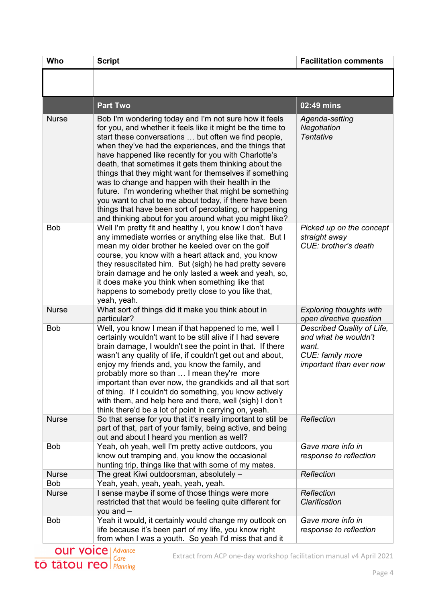| <b>Who</b>                 | <b>Script</b>                                                                                                                                                                                                                                                                                                                                                                                                                                                                                                                                                                                                                                                                                                 | <b>Facilitation comments</b>                                                                               |
|----------------------------|---------------------------------------------------------------------------------------------------------------------------------------------------------------------------------------------------------------------------------------------------------------------------------------------------------------------------------------------------------------------------------------------------------------------------------------------------------------------------------------------------------------------------------------------------------------------------------------------------------------------------------------------------------------------------------------------------------------|------------------------------------------------------------------------------------------------------------|
|                            |                                                                                                                                                                                                                                                                                                                                                                                                                                                                                                                                                                                                                                                                                                               |                                                                                                            |
|                            | <b>Part Two</b>                                                                                                                                                                                                                                                                                                                                                                                                                                                                                                                                                                                                                                                                                               | 02:49 mins                                                                                                 |
| <b>Nurse</b>               | Bob I'm wondering today and I'm not sure how it feels<br>for you, and whether it feels like it might be the time to<br>start these conversations  but often we find people,<br>when they've had the experiences, and the things that<br>have happened like recently for you with Charlotte's<br>death, that sometimes it gets them thinking about the<br>things that they might want for themselves if something<br>was to change and happen with their health in the<br>future. I'm wondering whether that might be something<br>you want to chat to me about today, if there have been<br>things that have been sort of percolating, or happening<br>and thinking about for you around what you might like? | Agenda-setting<br>Negotiation<br>Tentative                                                                 |
| <b>Bob</b>                 | Well I'm pretty fit and healthy I, you know I don't have<br>any immediate worries or anything else like that. But I<br>mean my older brother he keeled over on the golf<br>course, you know with a heart attack and, you know<br>they resuscitated him. But (sigh) he had pretty severe<br>brain damage and he only lasted a week and yeah, so,<br>it does make you think when something like that<br>happens to somebody pretty close to you like that,<br>yeah, yeah.                                                                                                                                                                                                                                       | Picked up on the concept<br>straight away<br>CUE: brother's death                                          |
| <b>Nurse</b>               | What sort of things did it make you think about in<br>particular?                                                                                                                                                                                                                                                                                                                                                                                                                                                                                                                                                                                                                                             | <b>Exploring thoughts with</b><br>open directive question                                                  |
| <b>Bob</b>                 | Well, you know I mean if that happened to me, well I<br>certainly wouldn't want to be still alive if I had severe<br>brain damage, I wouldn't see the point in that. If there<br>wasn't any quality of life, if couldn't get out and about,<br>enjoy my friends and, you know the family, and<br>probably more so than  I mean they're more<br>important than ever now, the grandkids and all that sort<br>of thing. If I couldn't do something, you know actively<br>with them, and help here and there, well (sigh) I don't<br>think there'd be a lot of point in carrying on, yeah.                                                                                                                        | Described Quality of Life,<br>and what he wouldn't<br>want.<br>CUE: family more<br>important than ever now |
| <b>Nurse</b>               | So that sense for you that it's really important to still be<br>part of that, part of your family, being active, and being<br>out and about I heard you mention as well?                                                                                                                                                                                                                                                                                                                                                                                                                                                                                                                                      | Reflection                                                                                                 |
| <b>Bob</b>                 | Yeah, oh yeah, well I'm pretty active outdoors, you<br>know out tramping and, you know the occasional<br>hunting trip, things like that with some of my mates.                                                                                                                                                                                                                                                                                                                                                                                                                                                                                                                                                | Gave more info in<br>response to reflection                                                                |
| <b>Nurse</b>               | The great Kiwi outdoorsman, absolutely -                                                                                                                                                                                                                                                                                                                                                                                                                                                                                                                                                                                                                                                                      | Reflection                                                                                                 |
| <b>Bob</b><br><b>Nurse</b> | Yeah, yeah, yeah, yeah, yeah, yeah.<br>I sense maybe if some of those things were more<br>restricted that that would be feeling quite different for<br>you and $-$                                                                                                                                                                                                                                                                                                                                                                                                                                                                                                                                            | Reflection<br>Clarification                                                                                |
| <b>Bob</b>                 | Yeah it would, it certainly would change my outlook on<br>life because it's been part of my life, you know right<br>from when I was a youth. So yeah I'd miss that and it                                                                                                                                                                                                                                                                                                                                                                                                                                                                                                                                     | Gave more info in<br>response to reflection                                                                |

Extract from ACP one-day workshop facilitation manual v4 April 2021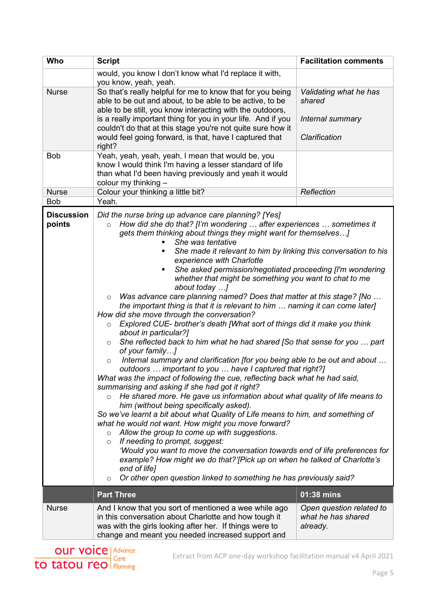| Who                         | <b>Script</b>                                                                                                                                                                                                                                                                                                                                                                                                                                                                                                                                                                                                                                                                                                                                                                                                                                                                                                                                                                                                                                                                                                                                                                                                                                                                                                                                                                                                                                                                                                                                                                                                                                                                                                                                                                                                                                                                      | <b>Facilitation comments</b>                                          |
|-----------------------------|------------------------------------------------------------------------------------------------------------------------------------------------------------------------------------------------------------------------------------------------------------------------------------------------------------------------------------------------------------------------------------------------------------------------------------------------------------------------------------------------------------------------------------------------------------------------------------------------------------------------------------------------------------------------------------------------------------------------------------------------------------------------------------------------------------------------------------------------------------------------------------------------------------------------------------------------------------------------------------------------------------------------------------------------------------------------------------------------------------------------------------------------------------------------------------------------------------------------------------------------------------------------------------------------------------------------------------------------------------------------------------------------------------------------------------------------------------------------------------------------------------------------------------------------------------------------------------------------------------------------------------------------------------------------------------------------------------------------------------------------------------------------------------------------------------------------------------------------------------------------------------|-----------------------------------------------------------------------|
|                             | would, you know I don't know what I'd replace it with,<br>you know, yeah, yeah.                                                                                                                                                                                                                                                                                                                                                                                                                                                                                                                                                                                                                                                                                                                                                                                                                                                                                                                                                                                                                                                                                                                                                                                                                                                                                                                                                                                                                                                                                                                                                                                                                                                                                                                                                                                                    |                                                                       |
| <b>Nurse</b>                | So that's really helpful for me to know that for you being<br>able to be out and about, to be able to be active, to be<br>able to be still, you know interacting with the outdoors,<br>is a really important thing for you in your life. And if you<br>couldn't do that at this stage you're not quite sure how it<br>would feel going forward, is that, have I captured that<br>right?                                                                                                                                                                                                                                                                                                                                                                                                                                                                                                                                                                                                                                                                                                                                                                                                                                                                                                                                                                                                                                                                                                                                                                                                                                                                                                                                                                                                                                                                                            | Validating what he has<br>shared<br>Internal summary<br>Clarification |
| <b>Bob</b>                  | Yeah, yeah, yeah, yeah, I mean that would be, you<br>know I would think I'm having a lesser standard of life<br>than what I'd been having previously and yeah it would<br>colour my thinking -                                                                                                                                                                                                                                                                                                                                                                                                                                                                                                                                                                                                                                                                                                                                                                                                                                                                                                                                                                                                                                                                                                                                                                                                                                                                                                                                                                                                                                                                                                                                                                                                                                                                                     |                                                                       |
| <b>Nurse</b>                | Colour your thinking a little bit?                                                                                                                                                                                                                                                                                                                                                                                                                                                                                                                                                                                                                                                                                                                                                                                                                                                                                                                                                                                                                                                                                                                                                                                                                                                                                                                                                                                                                                                                                                                                                                                                                                                                                                                                                                                                                                                 | Reflection                                                            |
| <b>Bob</b>                  | Yeah.                                                                                                                                                                                                                                                                                                                                                                                                                                                                                                                                                                                                                                                                                                                                                                                                                                                                                                                                                                                                                                                                                                                                                                                                                                                                                                                                                                                                                                                                                                                                                                                                                                                                                                                                                                                                                                                                              |                                                                       |
| <b>Discussion</b><br>points | Did the nurse bring up advance care planning? [Yes]<br>How did she do that? [I'm wondering  after experiences  sometimes it<br>$\circ$<br>gets them thinking about things they might want for themselves<br>She was tentative<br>She made it relevant to him by linking this conversation to his<br>$\blacksquare$<br>experience with Charlotte<br>She asked permission/negotiated proceeding [I'm wondering<br>٠<br>whether that might be something you want to chat to me<br>about today ]<br>Was advance care planning named? Does that matter at this stage? [No<br>$\circ$<br>the important thing is that it is relevant to him  naming it can come later]<br>How did she move through the conversation?<br>Explored CUE- brother's death [What sort of things did it make you think<br>$\circ$<br>about in particular?]<br>She reflected back to him what he had shared [So that sense for you  part<br>$\circ$<br>of your family]<br>Internal summary and clarification [for you being able to be out and about<br>$\circ$<br>outdoors  important to you  have I captured that right?]<br>What was the impact of following the cue, reflecting back what he had said,<br>summarising and asking if she had got it right?<br>He shared more. He gave us information about what quality of life means to<br>$\circ$<br>him (without being specifically asked).<br>So we've learnt a bit about what Quality of Life means to him, and something of<br>what he would not want. How might you move forward?<br>Allow the group to come up with suggestions.<br>$\circ$<br>If needing to prompt, suggest:<br>$\circ$<br>'Would you want to move the conversation towards end of life preferences for<br>example? How might we do that?'[Pick up on when he talked of Charlotte's<br>end of life]<br>Or other open question linked to something he has previously said?<br>$\circ$ |                                                                       |
|                             | <b>Part Three</b>                                                                                                                                                                                                                                                                                                                                                                                                                                                                                                                                                                                                                                                                                                                                                                                                                                                                                                                                                                                                                                                                                                                                                                                                                                                                                                                                                                                                                                                                                                                                                                                                                                                                                                                                                                                                                                                                  | 01:38 mins                                                            |
| <b>Nurse</b>                | And I know that you sort of mentioned a wee while ago<br>in this conversation about Charlotte and how tough it<br>was with the girls looking after her. If things were to<br>change and meant you needed increased support and                                                                                                                                                                                                                                                                                                                                                                                                                                                                                                                                                                                                                                                                                                                                                                                                                                                                                                                                                                                                                                                                                                                                                                                                                                                                                                                                                                                                                                                                                                                                                                                                                                                     | Open question related to<br>what he has shared<br>already.            |

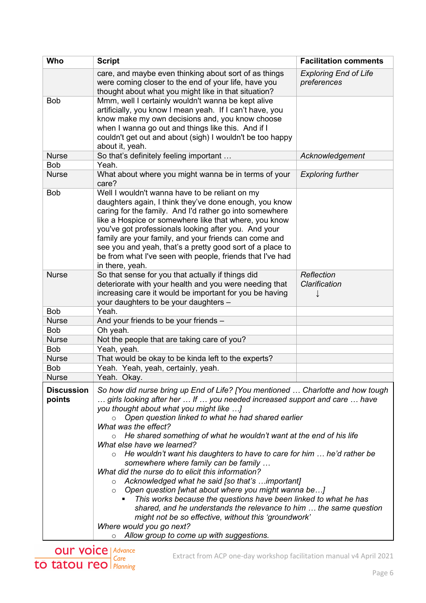| Who                         | <b>Script</b>                                                                                                                                                                                                                                                                                                                                                                                                                                                                                                                                                                                                                                    | <b>Facilitation comments</b>                |
|-----------------------------|--------------------------------------------------------------------------------------------------------------------------------------------------------------------------------------------------------------------------------------------------------------------------------------------------------------------------------------------------------------------------------------------------------------------------------------------------------------------------------------------------------------------------------------------------------------------------------------------------------------------------------------------------|---------------------------------------------|
|                             | care, and maybe even thinking about sort of as things<br>were coming closer to the end of your life, have you<br>thought about what you might like in that situation?                                                                                                                                                                                                                                                                                                                                                                                                                                                                            | <b>Exploring End of Life</b><br>preferences |
| <b>Bob</b>                  | Mmm, well I certainly wouldn't wanna be kept alive<br>artificially, you know I mean yeah. If I can't have, you<br>know make my own decisions and, you know choose<br>when I wanna go out and things like this. And if I<br>couldn't get out and about (sigh) I wouldn't be too happy<br>about it, yeah.                                                                                                                                                                                                                                                                                                                                          |                                             |
| <b>Nurse</b>                | So that's definitely feeling important                                                                                                                                                                                                                                                                                                                                                                                                                                                                                                                                                                                                           | Acknowledgement                             |
| <b>Bob</b>                  | Yeah.                                                                                                                                                                                                                                                                                                                                                                                                                                                                                                                                                                                                                                            |                                             |
| <b>Nurse</b>                | What about where you might wanna be in terms of your<br>care?                                                                                                                                                                                                                                                                                                                                                                                                                                                                                                                                                                                    | <b>Exploring further</b>                    |
| <b>Bob</b>                  | Well I wouldn't wanna have to be reliant on my<br>daughters again, I think they've done enough, you know<br>caring for the family. And I'd rather go into somewhere<br>like a Hospice or somewhere like that where, you know<br>you've got professionals looking after you. And your<br>family are your family, and your friends can come and<br>see you and yeah, that's a pretty good sort of a place to<br>be from what I've seen with people, friends that I've had<br>in there, yeah.                                                                                                                                                       |                                             |
| <b>Nurse</b>                | So that sense for you that actually if things did<br>deteriorate with your health and you were needing that<br>increasing care it would be important for you be having<br>your daughters to be your daughters -                                                                                                                                                                                                                                                                                                                                                                                                                                  | Reflection<br>Clarification                 |
| <b>Bob</b>                  | Yeah.                                                                                                                                                                                                                                                                                                                                                                                                                                                                                                                                                                                                                                            |                                             |
| <b>Nurse</b>                | And your friends to be your friends -                                                                                                                                                                                                                                                                                                                                                                                                                                                                                                                                                                                                            |                                             |
| <b>Bob</b>                  | Oh yeah.                                                                                                                                                                                                                                                                                                                                                                                                                                                                                                                                                                                                                                         |                                             |
| <b>Nurse</b>                | Not the people that are taking care of you?                                                                                                                                                                                                                                                                                                                                                                                                                                                                                                                                                                                                      |                                             |
| <b>Bob</b>                  | Yeah, yeah.                                                                                                                                                                                                                                                                                                                                                                                                                                                                                                                                                                                                                                      |                                             |
| <b>Nurse</b>                | That would be okay to be kinda left to the experts?                                                                                                                                                                                                                                                                                                                                                                                                                                                                                                                                                                                              |                                             |
| <b>Bob</b><br><b>Nurse</b>  | Yeah. Yeah, yeah, certainly, yeah.<br>Yeah. Okay.                                                                                                                                                                                                                                                                                                                                                                                                                                                                                                                                                                                                |                                             |
| <b>Discussion</b><br>points | So how did nurse bring up End of Life? [You mentioned  Charlotte and how tough<br>girls looking after her  If  you needed increased support and care  have<br>you thought about what you might like ]<br>Open question linked to what he had shared earlier<br>What was the effect?<br>He shared something of what he wouldn't want at the end of his life<br>$\circ$                                                                                                                                                                                                                                                                            |                                             |
|                             | What else have we learned?<br>He wouldn't want his daughters to have to care for him  he'd rather be<br>$\circ$<br>somewhere where family can be family<br>What did the nurse do to elicit this information?<br>Acknowledged what he said [so that's important]<br>$\circ$<br>Open question [what about where you might wanna be]<br>$\circ$<br>This works because the questions have been linked to what he has<br>$\blacksquare$<br>shared, and he understands the relevance to him  the same question<br>might not be so effective, without this 'groundwork'<br>Where would you go next?<br>$\circ$ Allow group to come up with suggestions. |                                             |

Extract from ACP one-day workshop facilitation manual v4 April 2021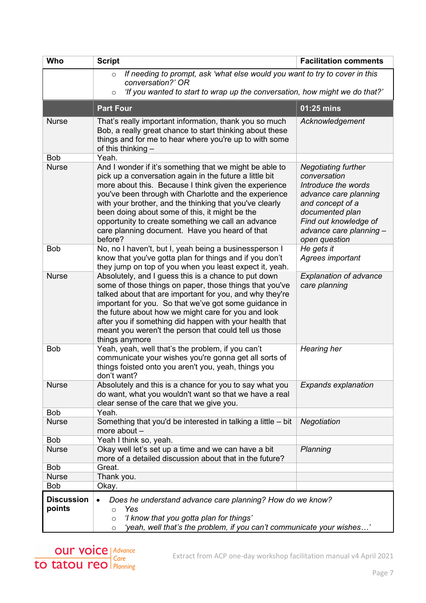| <b>Who</b>                  | <b>Script</b>                                                                                                                                                                                                                                                                                                                                                                                                                                                        | <b>Facilitation comments</b>                                                                                                                                                                           |
|-----------------------------|----------------------------------------------------------------------------------------------------------------------------------------------------------------------------------------------------------------------------------------------------------------------------------------------------------------------------------------------------------------------------------------------------------------------------------------------------------------------|--------------------------------------------------------------------------------------------------------------------------------------------------------------------------------------------------------|
|                             | If needing to prompt, ask 'what else would you want to try to cover in this<br>$\circ$                                                                                                                                                                                                                                                                                                                                                                               |                                                                                                                                                                                                        |
|                             | conversation?' OR<br>'If you wanted to start to wrap up the conversation, how might we do that?'<br>$\circ$                                                                                                                                                                                                                                                                                                                                                          |                                                                                                                                                                                                        |
|                             | <b>Part Four</b>                                                                                                                                                                                                                                                                                                                                                                                                                                                     | 01:25 mins                                                                                                                                                                                             |
| <b>Nurse</b>                | That's really important information, thank you so much<br>Bob, a really great chance to start thinking about these<br>things and for me to hear where you're up to with some<br>of this thinking $-$                                                                                                                                                                                                                                                                 | Acknowledgement                                                                                                                                                                                        |
| <b>Bob</b>                  | Yeah.                                                                                                                                                                                                                                                                                                                                                                                                                                                                |                                                                                                                                                                                                        |
| <b>Nurse</b>                | And I wonder if it's something that we might be able to<br>pick up a conversation again in the future a little bit<br>more about this. Because I think given the experience<br>you've been through with Charlotte and the experience<br>with your brother, and the thinking that you've clearly<br>been doing about some of this, it might be the<br>opportunity to create something we call an advance<br>care planning document. Have you heard of that<br>before? | <b>Negotiating further</b><br>conversation<br>Introduce the words<br>advance care planning<br>and concept of a<br>documented plan<br>Find out knowledge of<br>advance care planning -<br>open question |
| <b>Bob</b>                  | No, no I haven't, but I, yeah being a businessperson I<br>know that you've gotta plan for things and if you don't<br>they jump on top of you when you least expect it, yeah.                                                                                                                                                                                                                                                                                         | He gets it<br>Agrees important                                                                                                                                                                         |
| <b>Nurse</b>                | Absolutely, and I guess this is a chance to put down<br>some of those things on paper, those things that you've<br>talked about that are important for you, and why they're<br>important for you. So that we've got some guidance in<br>the future about how we might care for you and look<br>after you if something did happen with your health that<br>meant you weren't the person that could tell us those<br>things anymore                                    | <b>Explanation of advance</b><br>care planning                                                                                                                                                         |
| <b>Bob</b>                  | Yeah, yeah, well that's the problem, if you can't<br>communicate your wishes you're gonna get all sorts of<br>things foisted onto you aren't you, yeah, things you<br>don't want?                                                                                                                                                                                                                                                                                    | Hearing her                                                                                                                                                                                            |
| <b>Nurse</b>                | Absolutely and this is a chance for you to say what you<br>do want, what you wouldn't want so that we have a real<br>clear sense of the care that we give you.                                                                                                                                                                                                                                                                                                       | <b>Expands explanation</b>                                                                                                                                                                             |
| <b>Bob</b>                  | Yeah.                                                                                                                                                                                                                                                                                                                                                                                                                                                                |                                                                                                                                                                                                        |
| <b>Nurse</b>                | Something that you'd be interested in talking a little $-$ bit<br>more about -                                                                                                                                                                                                                                                                                                                                                                                       | Negotiation                                                                                                                                                                                            |
| <b>Bob</b>                  | Yeah I think so, yeah.                                                                                                                                                                                                                                                                                                                                                                                                                                               |                                                                                                                                                                                                        |
| <b>Nurse</b>                | Okay well let's set up a time and we can have a bit<br>more of a detailed discussion about that in the future?                                                                                                                                                                                                                                                                                                                                                       | Planning                                                                                                                                                                                               |
| <b>Bob</b>                  | Great.                                                                                                                                                                                                                                                                                                                                                                                                                                                               |                                                                                                                                                                                                        |
| <b>Nurse</b><br><b>Bob</b>  | Thank you.                                                                                                                                                                                                                                                                                                                                                                                                                                                           |                                                                                                                                                                                                        |
|                             | Okay.                                                                                                                                                                                                                                                                                                                                                                                                                                                                |                                                                                                                                                                                                        |
| <b>Discussion</b><br>points | Does he understand advance care planning? How do we know?<br>Yes<br>$\Omega$<br>'I know that you gotta plan for things'<br>$\circ$<br>'yeah, well that's the problem, if you can't communicate your wishes'<br>$\circ$                                                                                                                                                                                                                                               |                                                                                                                                                                                                        |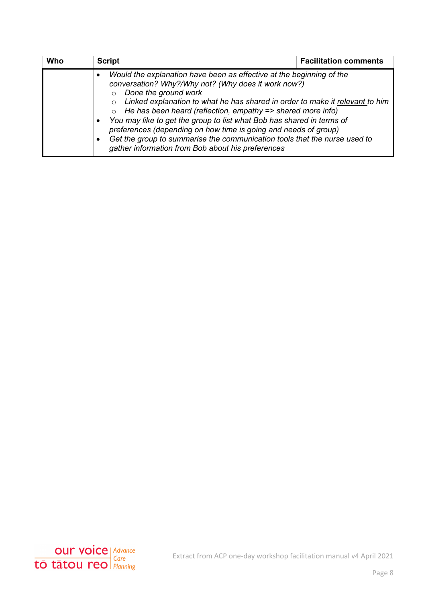| Who | <b>Script</b>                                                                                                                                                                                                                                                                                                                                                                                                                                                                                                                                                                                                                 | <b>Facilitation comments</b> |
|-----|-------------------------------------------------------------------------------------------------------------------------------------------------------------------------------------------------------------------------------------------------------------------------------------------------------------------------------------------------------------------------------------------------------------------------------------------------------------------------------------------------------------------------------------------------------------------------------------------------------------------------------|------------------------------|
|     | Would the explanation have been as effective at the beginning of the<br>conversation? Why?/Why not? (Why does it work now?)<br>Done the ground work<br>$\circ$<br>$\circ$ Linked explanation to what he has shared in order to make it relevant to him<br>He has been heard (reflection, empathy => shared more info)<br>You may like to get the group to list what Bob has shared in terms of<br>$\bullet$<br>preferences (depending on how time is going and needs of group)<br>Get the group to summarise the communication tools that the nurse used to<br>$\bullet$<br>gather information from Bob about his preferences |                              |

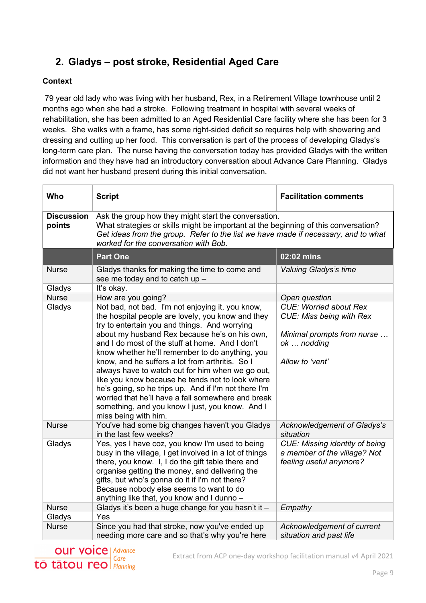## **2. Gladys – post stroke, Residential Aged Care**

#### **Context**

79 year old lady who was living with her husband, Rex, in a Retirement Village townhouse until 2 months ago when she had a stroke. Following treatment in hospital with several weeks of rehabilitation, she has been admitted to an Aged Residential Care facility where she has been for 3 weeks. She walks with a frame, has some right-sided deficit so requires help with showering and dressing and cutting up her food. This conversation is part of the process of developing Gladys's long-term care plan. The nurse having the conversation today has provided Gladys with the written information and they have had an introductory conversation about Advance Care Planning. Gladys did not want her husband present during this initial conversation.

| Who                         | <b>Script</b>                                                                                                                                                                                                                                                                                                                                                                                                                                                                                                                                                                                                                                                     | <b>Facilitation comments</b>                                                                                                     |
|-----------------------------|-------------------------------------------------------------------------------------------------------------------------------------------------------------------------------------------------------------------------------------------------------------------------------------------------------------------------------------------------------------------------------------------------------------------------------------------------------------------------------------------------------------------------------------------------------------------------------------------------------------------------------------------------------------------|----------------------------------------------------------------------------------------------------------------------------------|
| <b>Discussion</b><br>points | Ask the group how they might start the conversation.<br>What strategies or skills might be important at the beginning of this conversation?<br>Get ideas from the group. Refer to the list we have made if necessary, and to what<br>worked for the conversation with Bob.                                                                                                                                                                                                                                                                                                                                                                                        |                                                                                                                                  |
|                             | <b>Part One</b>                                                                                                                                                                                                                                                                                                                                                                                                                                                                                                                                                                                                                                                   | 02:02 mins                                                                                                                       |
| <b>Nurse</b>                | Gladys thanks for making the time to come and<br>see me today and to catch up -                                                                                                                                                                                                                                                                                                                                                                                                                                                                                                                                                                                   | <b>Valuing Gladys's time</b>                                                                                                     |
| Gladys                      | It's okay.                                                                                                                                                                                                                                                                                                                                                                                                                                                                                                                                                                                                                                                        |                                                                                                                                  |
| <b>Nurse</b>                | How are you going?                                                                                                                                                                                                                                                                                                                                                                                                                                                                                                                                                                                                                                                | Open question                                                                                                                    |
| Gladys                      | Not bad, not bad. I'm not enjoying it, you know,<br>the hospital people are lovely, you know and they<br>try to entertain you and things. And worrying<br>about my husband Rex because he's on his own,<br>and I do most of the stuff at home. And I don't<br>know whether he'll remember to do anything, you<br>know, and he suffers a lot from arthritis. So I<br>always have to watch out for him when we go out,<br>like you know because he tends not to look where<br>he's going, so he trips up. And if I'm not there I'm<br>worried that he'll have a fall somewhere and break<br>something, and you know I just, you know. And I<br>miss being with him. | <b>CUE: Worried about Rex</b><br><b>CUE: Miss being with Rex</b><br>Minimal prompts from nurse<br>ok  nodding<br>Allow to 'vent' |
| <b>Nurse</b>                | You've had some big changes haven't you Gladys<br>in the last few weeks?                                                                                                                                                                                                                                                                                                                                                                                                                                                                                                                                                                                          | Acknowledgement of Gladys's<br>situation                                                                                         |
| Gladys                      | Yes, yes I have coz, you know I'm used to being<br>busy in the village, I get involved in a lot of things<br>there, you know. I, I do the gift table there and<br>organise getting the money, and delivering the<br>gifts, but who's gonna do it if I'm not there?<br>Because nobody else seems to want to do<br>anything like that, you know and I dunno -                                                                                                                                                                                                                                                                                                       | <b>CUE: Missing identity of being</b><br>a member of the village? Not<br>feeling useful anymore?                                 |
| <b>Nurse</b>                | Gladys it's been a huge change for you hasn't it -                                                                                                                                                                                                                                                                                                                                                                                                                                                                                                                                                                                                                | Empathy                                                                                                                          |
| Gladys                      | Yes                                                                                                                                                                                                                                                                                                                                                                                                                                                                                                                                                                                                                                                               |                                                                                                                                  |
| <b>Nurse</b>                | Since you had that stroke, now you've ended up<br>needing more care and so that's why you're here                                                                                                                                                                                                                                                                                                                                                                                                                                                                                                                                                                 | Acknowledgement of current<br>situation and past life                                                                            |



Extract from ACP one-day workshop facilitation manual v4 April 2021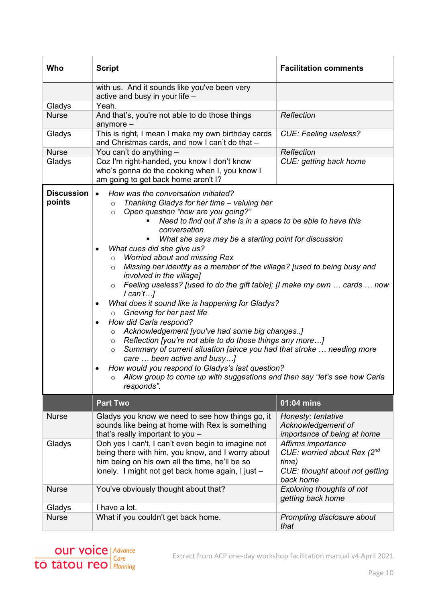| Who                         | <b>Script</b>                                                                                                                                                                                                                                                                                                                                                                                                                                                                                                                                                                                                                                                                                                                                                                                                                                                                                                                                                                                                                                                                                                                                                                                | <b>Facilitation comments</b>                                                                              |
|-----------------------------|----------------------------------------------------------------------------------------------------------------------------------------------------------------------------------------------------------------------------------------------------------------------------------------------------------------------------------------------------------------------------------------------------------------------------------------------------------------------------------------------------------------------------------------------------------------------------------------------------------------------------------------------------------------------------------------------------------------------------------------------------------------------------------------------------------------------------------------------------------------------------------------------------------------------------------------------------------------------------------------------------------------------------------------------------------------------------------------------------------------------------------------------------------------------------------------------|-----------------------------------------------------------------------------------------------------------|
|                             | with us. And it sounds like you've been very<br>active and busy in your life -                                                                                                                                                                                                                                                                                                                                                                                                                                                                                                                                                                                                                                                                                                                                                                                                                                                                                                                                                                                                                                                                                                               |                                                                                                           |
| Gladys                      | Yeah.                                                                                                                                                                                                                                                                                                                                                                                                                                                                                                                                                                                                                                                                                                                                                                                                                                                                                                                                                                                                                                                                                                                                                                                        |                                                                                                           |
| <b>Nurse</b>                | And that's, you're not able to do those things<br>anymore $-$                                                                                                                                                                                                                                                                                                                                                                                                                                                                                                                                                                                                                                                                                                                                                                                                                                                                                                                                                                                                                                                                                                                                | Reflection                                                                                                |
| Gladys                      | This is right, I mean I make my own birthday cards<br>and Christmas cards, and now I can't do that -                                                                                                                                                                                                                                                                                                                                                                                                                                                                                                                                                                                                                                                                                                                                                                                                                                                                                                                                                                                                                                                                                         | <b>CUE: Feeling useless?</b>                                                                              |
| <b>Nurse</b>                | You can't do anything -                                                                                                                                                                                                                                                                                                                                                                                                                                                                                                                                                                                                                                                                                                                                                                                                                                                                                                                                                                                                                                                                                                                                                                      | Reflection                                                                                                |
| Gladys                      | Coz I'm right-handed, you know I don't know<br>who's gonna do the cooking when I, you know I<br>am going to get back home aren't I?                                                                                                                                                                                                                                                                                                                                                                                                                                                                                                                                                                                                                                                                                                                                                                                                                                                                                                                                                                                                                                                          | CUE: getting back home                                                                                    |
| <b>Discussion</b><br>points | How was the conversation initiated?<br>$\bullet$<br>Thanking Gladys for her time - valuing her<br>$\circ$<br>Open question "how are you going?"<br>$\circ$<br>Need to find out if she is in a space to be able to have this<br>conversation<br>What she says may be a starting point for discussion<br>What cues did she give us?<br>$\bullet$<br><b>Worried about and missing Rex</b><br>$\circ$<br>Missing her identity as a member of the village? [used to being busy and<br>$\circ$<br>involved in the village]<br>Feeling useless? [used to do the gift table]; [I make my own  cards  now<br>$\circ$<br>l can'tl<br>What does it sound like is happening for Gladys?<br>$\bullet$<br>Grieving for her past life<br>$\circ$<br>How did Carla respond?<br>$\bullet$<br>Acknowledgement [you've had some big changes]<br>$\circ$<br>Reflection [you're not able to do those things any more]<br>$\circ$<br>Summary of current situation [since you had that stroke  needing more<br>$\circ$<br>care  been active and busy]<br>How would you respond to Gladys's last question?<br>$\bullet$<br>o Allow group to come up with suggestions and then say "let's see how Carla<br>responds". |                                                                                                           |
|                             | <b>Part Two</b>                                                                                                                                                                                                                                                                                                                                                                                                                                                                                                                                                                                                                                                                                                                                                                                                                                                                                                                                                                                                                                                                                                                                                                              | $\overline{01:}04 \overline{\text{mins}}$                                                                 |
| <b>Nurse</b>                | Gladys you know we need to see how things go, it<br>sounds like being at home with Rex is something<br>that's really important to you -                                                                                                                                                                                                                                                                                                                                                                                                                                                                                                                                                                                                                                                                                                                                                                                                                                                                                                                                                                                                                                                      | Honesty; tentative<br>Acknowledgement of<br>importance of being at home                                   |
| Gladys                      | Ooh yes I can't, I can't even begin to imagine not<br>being there with him, you know, and I worry about<br>him being on his own all the time, he'll be so<br>lonely. I might not get back home again, I just -                                                                                                                                                                                                                                                                                                                                                                                                                                                                                                                                                                                                                                                                                                                                                                                                                                                                                                                                                                               | Affirms importance<br>CUE: worried about Rex (2nd<br>time)<br>CUE: thought about not getting<br>back home |
| <b>Nurse</b>                | You've obviously thought about that?                                                                                                                                                                                                                                                                                                                                                                                                                                                                                                                                                                                                                                                                                                                                                                                                                                                                                                                                                                                                                                                                                                                                                         | <b>Exploring thoughts of not</b><br>getting back home                                                     |
| Gladys                      | I have a lot.                                                                                                                                                                                                                                                                                                                                                                                                                                                                                                                                                                                                                                                                                                                                                                                                                                                                                                                                                                                                                                                                                                                                                                                |                                                                                                           |
| <b>Nurse</b>                | What if you couldn't get back home.                                                                                                                                                                                                                                                                                                                                                                                                                                                                                                                                                                                                                                                                                                                                                                                                                                                                                                                                                                                                                                                                                                                                                          | Prompting disclosure about<br>that                                                                        |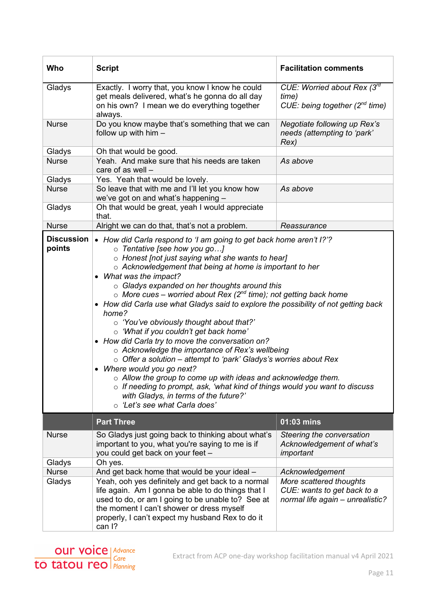| Who                         | <b>Script</b>                                                                                                                                                                                                                                                                                                                                                                                                                                                                                                                                                                                                                                                                                                                                                                                                                                                                                                                                                                                                                      | <b>Facilitation comments</b>                                                                                  |
|-----------------------------|------------------------------------------------------------------------------------------------------------------------------------------------------------------------------------------------------------------------------------------------------------------------------------------------------------------------------------------------------------------------------------------------------------------------------------------------------------------------------------------------------------------------------------------------------------------------------------------------------------------------------------------------------------------------------------------------------------------------------------------------------------------------------------------------------------------------------------------------------------------------------------------------------------------------------------------------------------------------------------------------------------------------------------|---------------------------------------------------------------------------------------------------------------|
| Gladys                      | Exactly. I worry that, you know I know he could<br>get meals delivered, what's he gonna do all day<br>on his own? I mean we do everything together<br>always.                                                                                                                                                                                                                                                                                                                                                                                                                                                                                                                                                                                                                                                                                                                                                                                                                                                                      | CUE: Worried about Rex (3rd<br>time)<br>CUE: being together $(2^{nd}$ time)                                   |
| <b>Nurse</b>                | Do you know maybe that's something that we can<br>follow up with $him -$                                                                                                                                                                                                                                                                                                                                                                                                                                                                                                                                                                                                                                                                                                                                                                                                                                                                                                                                                           | Negotiate following up Rex's<br>needs (attempting to 'park'<br>Rex)                                           |
| Gladys                      | Oh that would be good.                                                                                                                                                                                                                                                                                                                                                                                                                                                                                                                                                                                                                                                                                                                                                                                                                                                                                                                                                                                                             |                                                                                                               |
| <b>Nurse</b>                | Yeah. And make sure that his needs are taken<br>care of as well -                                                                                                                                                                                                                                                                                                                                                                                                                                                                                                                                                                                                                                                                                                                                                                                                                                                                                                                                                                  | As above                                                                                                      |
| Gladys                      | Yes. Yeah that would be lovely.                                                                                                                                                                                                                                                                                                                                                                                                                                                                                                                                                                                                                                                                                                                                                                                                                                                                                                                                                                                                    |                                                                                                               |
| <b>Nurse</b>                | So leave that with me and I'll let you know how<br>we've got on and what's happening -                                                                                                                                                                                                                                                                                                                                                                                                                                                                                                                                                                                                                                                                                                                                                                                                                                                                                                                                             | As above                                                                                                      |
| Gladys                      | Oh that would be great, yeah I would appreciate<br>that.                                                                                                                                                                                                                                                                                                                                                                                                                                                                                                                                                                                                                                                                                                                                                                                                                                                                                                                                                                           |                                                                                                               |
| <b>Nurse</b>                | Alright we can do that, that's not a problem.                                                                                                                                                                                                                                                                                                                                                                                                                                                                                                                                                                                                                                                                                                                                                                                                                                                                                                                                                                                      | Reassurance                                                                                                   |
| <b>Discussion</b><br>points | • How did Carla respond to 'I am going to get back home aren't I?'?<br>o Tentative [see how you go]<br>o Honest [not just saying what she wants to hear]<br>o Acknowledgement that being at home is important to her<br>• What was the impact?<br>○ Gladys expanded on her thoughts around this<br>$\circ$ More cues – worried about Rex (2 <sup>nd</sup> time); not getting back home<br>• How did Carla use what Gladys said to explore the possibility of not getting back<br>home?<br>o 'You've obviously thought about that?'<br>o 'What if you couldn't get back home'<br>• How did Carla try to move the conversation on?<br>○ Acknowledge the importance of Rex's wellbeing<br>$\circ$ Offer a solution – attempt to 'park' Gladys's worries about Rex<br>• Where would you go next?<br>$\circ$ Allow the group to come up with ideas and acknowledge them.<br>$\circ$ If needing to prompt, ask, 'what kind of things would you want to discuss<br>with Gladys, in terms of the future?'<br>o 'Let's see what Carla does' |                                                                                                               |
|                             | <b>Part Three</b>                                                                                                                                                                                                                                                                                                                                                                                                                                                                                                                                                                                                                                                                                                                                                                                                                                                                                                                                                                                                                  | 01:03 mins                                                                                                    |
| <b>Nurse</b>                | So Gladys just going back to thinking about what's<br>important to you, what you're saying to me is if<br>you could get back on your feet -                                                                                                                                                                                                                                                                                                                                                                                                                                                                                                                                                                                                                                                                                                                                                                                                                                                                                        | Steering the conversation<br>Acknowledgement of what's<br>important                                           |
| Gladys                      | Oh yes.                                                                                                                                                                                                                                                                                                                                                                                                                                                                                                                                                                                                                                                                                                                                                                                                                                                                                                                                                                                                                            |                                                                                                               |
| <b>Nurse</b><br>Gladys      | And get back home that would be your ideal -<br>Yeah, ooh yes definitely and get back to a normal<br>life again. Am I gonna be able to do things that I<br>used to do, or am I going to be unable to? See at<br>the moment I can't shower or dress myself<br>properly, I can't expect my husband Rex to do it<br>can I?                                                                                                                                                                                                                                                                                                                                                                                                                                                                                                                                                                                                                                                                                                            | Acknowledgement<br>More scattered thoughts<br>CUE: wants to get back to a<br>normal life again - unrealistic? |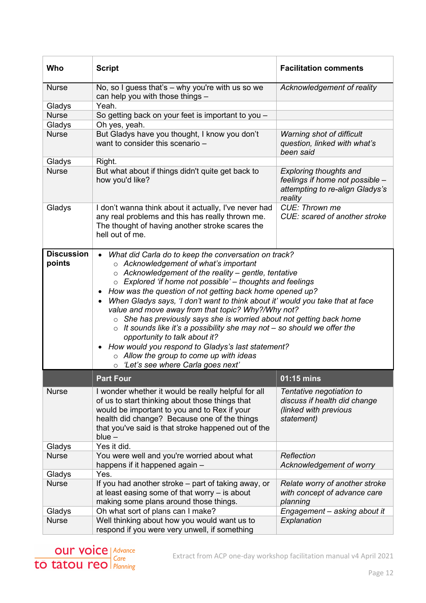| Who                         | <b>Script</b>                                                                                                                                                                                                                                                                                                                                                                                                                                                                                                                                                                                                                                                                                                                                                                                                                    | <b>Facilitation comments</b>                                                                                   |
|-----------------------------|----------------------------------------------------------------------------------------------------------------------------------------------------------------------------------------------------------------------------------------------------------------------------------------------------------------------------------------------------------------------------------------------------------------------------------------------------------------------------------------------------------------------------------------------------------------------------------------------------------------------------------------------------------------------------------------------------------------------------------------------------------------------------------------------------------------------------------|----------------------------------------------------------------------------------------------------------------|
| <b>Nurse</b>                | No, so I guess that's - why you're with us so we<br>can help you with those things -                                                                                                                                                                                                                                                                                                                                                                                                                                                                                                                                                                                                                                                                                                                                             | Acknowledgement of reality                                                                                     |
| Gladys                      | Yeah.                                                                                                                                                                                                                                                                                                                                                                                                                                                                                                                                                                                                                                                                                                                                                                                                                            |                                                                                                                |
| <b>Nurse</b>                | So getting back on your feet is important to you -                                                                                                                                                                                                                                                                                                                                                                                                                                                                                                                                                                                                                                                                                                                                                                               |                                                                                                                |
| Gladys                      | Oh yes, yeah.                                                                                                                                                                                                                                                                                                                                                                                                                                                                                                                                                                                                                                                                                                                                                                                                                    |                                                                                                                |
| <b>Nurse</b>                | But Gladys have you thought, I know you don't<br>want to consider this scenario -                                                                                                                                                                                                                                                                                                                                                                                                                                                                                                                                                                                                                                                                                                                                                | Warning shot of difficult<br>question, linked with what's<br>been said                                         |
| Gladys                      | Right.                                                                                                                                                                                                                                                                                                                                                                                                                                                                                                                                                                                                                                                                                                                                                                                                                           |                                                                                                                |
| <b>Nurse</b>                | But what about if things didn't quite get back to<br>how you'd like?                                                                                                                                                                                                                                                                                                                                                                                                                                                                                                                                                                                                                                                                                                                                                             | <b>Exploring thoughts and</b><br>feelings if home not possible -<br>attempting to re-align Gladys's<br>reality |
| Gladys                      | I don't wanna think about it actually, I've never had<br>any real problems and this has really thrown me.<br>The thought of having another stroke scares the<br>hell out of me.                                                                                                                                                                                                                                                                                                                                                                                                                                                                                                                                                                                                                                                  | CUE: Thrown me<br>CUE: scared of another stroke                                                                |
| <b>Discussion</b><br>points | What did Carla do to keep the conversation on track?<br>$\circ$ Acknowledgement of what's important<br>$\circ$ Acknowledgement of the reality – gentle, tentative<br>$\circ$ Explored 'if home not possible' – thoughts and feelings<br>How was the question of not getting back home opened up?<br>$\bullet$<br>When Gladys says, 'I don't want to think about it' would you take that at face<br>$\bullet$<br>value and move away from that topic? Why?/Why not?<br>She has previously says she is worried about not getting back home<br>$\circ$<br>$\circ$ It sounds like it's a possibility she may not - so should we offer the<br>opportunity to talk about it?<br>How would you respond to Gladys's last statement?<br>$\bullet$<br>$\circ$ Allow the group to come up with ideas<br>o 'Let's see where Carla goes next' |                                                                                                                |
|                             | <b>Part Four</b>                                                                                                                                                                                                                                                                                                                                                                                                                                                                                                                                                                                                                                                                                                                                                                                                                 | 01:15 mins                                                                                                     |
| <b>Nurse</b>                | I wonder whether it would be really helpful for all<br>of us to start thinking about those things that<br>would be important to you and to Rex if your<br>health did change? Because one of the things<br>that you've said is that stroke happened out of the<br>$blue -$                                                                                                                                                                                                                                                                                                                                                                                                                                                                                                                                                        | Tentative negotiation to<br>discuss if health did change<br>(linked with previous<br>statement)                |
| Gladys                      | Yes it did.                                                                                                                                                                                                                                                                                                                                                                                                                                                                                                                                                                                                                                                                                                                                                                                                                      |                                                                                                                |
| <b>Nurse</b>                | You were well and you're worried about what<br>happens if it happened again -                                                                                                                                                                                                                                                                                                                                                                                                                                                                                                                                                                                                                                                                                                                                                    | Reflection<br>Acknowledgement of worry                                                                         |
| Gladys                      | Yes.                                                                                                                                                                                                                                                                                                                                                                                                                                                                                                                                                                                                                                                                                                                                                                                                                             |                                                                                                                |
| <b>Nurse</b>                | If you had another stroke – part of taking away, or<br>at least easing some of that worry $-$ is about<br>making some plans around those things.                                                                                                                                                                                                                                                                                                                                                                                                                                                                                                                                                                                                                                                                                 | Relate worry of another stroke<br>with concept of advance care<br>planning                                     |
| Gladys                      | Oh what sort of plans can I make?                                                                                                                                                                                                                                                                                                                                                                                                                                                                                                                                                                                                                                                                                                                                                                                                | Engagement - asking about it                                                                                   |
| <b>Nurse</b>                | Well thinking about how you would want us to<br>respond if you were very unwell, if something                                                                                                                                                                                                                                                                                                                                                                                                                                                                                                                                                                                                                                                                                                                                    | Explanation                                                                                                    |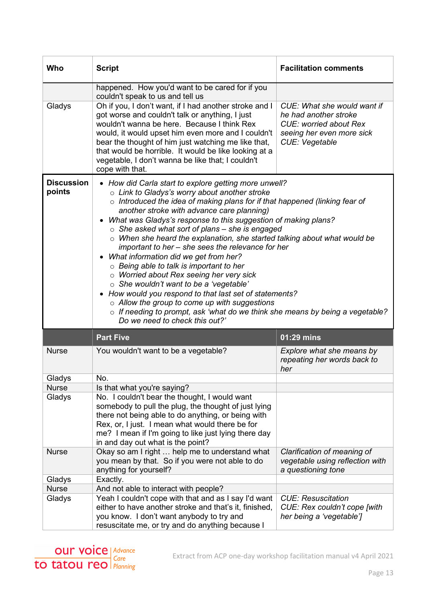| Who                         | <b>Script</b>                                                                                                                                                                                                                                                                                                                                                                                                                                                                                                                                                                                                                                                                                                                                                                                                                                                                                                                               | <b>Facilitation comments</b>                                                                                                         |
|-----------------------------|---------------------------------------------------------------------------------------------------------------------------------------------------------------------------------------------------------------------------------------------------------------------------------------------------------------------------------------------------------------------------------------------------------------------------------------------------------------------------------------------------------------------------------------------------------------------------------------------------------------------------------------------------------------------------------------------------------------------------------------------------------------------------------------------------------------------------------------------------------------------------------------------------------------------------------------------|--------------------------------------------------------------------------------------------------------------------------------------|
|                             | happened. How you'd want to be cared for if you<br>couldn't speak to us and tell us                                                                                                                                                                                                                                                                                                                                                                                                                                                                                                                                                                                                                                                                                                                                                                                                                                                         |                                                                                                                                      |
| Gladys                      | Oh if you, I don't want, if I had another stroke and I<br>got worse and couldn't talk or anything, I just<br>wouldn't wanna be here. Because I think Rex<br>would, it would upset him even more and I couldn't<br>bear the thought of him just watching me like that,<br>that would be horrible. It would be like looking at a<br>vegetable, I don't wanna be like that; I couldn't<br>cope with that.                                                                                                                                                                                                                                                                                                                                                                                                                                                                                                                                      | CUE: What she would want if<br>he had another stroke<br><b>CUE: worried about Rex</b><br>seeing her even more sick<br>CUE: Vegetable |
| <b>Discussion</b><br>points | • How did Carla start to explore getting more unwell?<br>o Link to Gladys's worry about another stroke<br>$\circ$ Introduced the idea of making plans for if that happened (linking fear of<br>another stroke with advance care planning)<br>• What was Gladys's response to this suggestion of making plans?<br>$\circ$ She asked what sort of plans – she is engaged<br>$\circ$ When she heard the explanation, she started talking about what would be<br>important to her – she sees the relevance for her<br>What information did we get from her?<br>$\circ$ Being able to talk is important to her<br>o Worried about Rex seeing her very sick<br>o She wouldn't want to be a 'vegetable'<br>• How would you respond to that last set of statements?<br>$\circ$ Allow the group to come up with suggestions<br>$\circ$ If needing to prompt, ask 'what do we think she means by being a vegetable?<br>Do we need to check this out?' |                                                                                                                                      |
|                             | <b>Part Five</b>                                                                                                                                                                                                                                                                                                                                                                                                                                                                                                                                                                                                                                                                                                                                                                                                                                                                                                                            | 01:29 mins                                                                                                                           |
| <b>Nurse</b>                | You wouldn't want to be a vegetable?                                                                                                                                                                                                                                                                                                                                                                                                                                                                                                                                                                                                                                                                                                                                                                                                                                                                                                        | Explore what she means by<br>repeating her words back to<br>her                                                                      |
| Gladys                      | No.                                                                                                                                                                                                                                                                                                                                                                                                                                                                                                                                                                                                                                                                                                                                                                                                                                                                                                                                         |                                                                                                                                      |
| <b>Nurse</b>                | Is that what you're saying?                                                                                                                                                                                                                                                                                                                                                                                                                                                                                                                                                                                                                                                                                                                                                                                                                                                                                                                 |                                                                                                                                      |
| Gladys                      | No. I couldn't bear the thought, I would want<br>somebody to pull the plug, the thought of just lying<br>there not being able to do anything, or being with<br>Rex, or, I just. I mean what would there be for<br>me? I mean if I'm going to like just lying there day<br>in and day out what is the point?                                                                                                                                                                                                                                                                                                                                                                                                                                                                                                                                                                                                                                 |                                                                                                                                      |
| <b>Nurse</b>                | Okay so am I right  help me to understand what<br>you mean by that. So if you were not able to do<br>anything for yourself?                                                                                                                                                                                                                                                                                                                                                                                                                                                                                                                                                                                                                                                                                                                                                                                                                 | Clarification of meaning of<br>vegetable using reflection with<br>a questioning tone                                                 |
| Gladys                      | Exactly.                                                                                                                                                                                                                                                                                                                                                                                                                                                                                                                                                                                                                                                                                                                                                                                                                                                                                                                                    |                                                                                                                                      |
| <b>Nurse</b>                | And not able to interact with people?                                                                                                                                                                                                                                                                                                                                                                                                                                                                                                                                                                                                                                                                                                                                                                                                                                                                                                       |                                                                                                                                      |
| Gladys                      | Yeah I couldn't cope with that and as I say I'd want<br>either to have another stroke and that's it, finished,<br>you know. I don't want anybody to try and<br>resuscitate me, or try and do anything because I                                                                                                                                                                                                                                                                                                                                                                                                                                                                                                                                                                                                                                                                                                                             | <b>CUE: Resuscitation</b><br>CUE: Rex couldn't cope [with<br>her being a 'vegetable']                                                |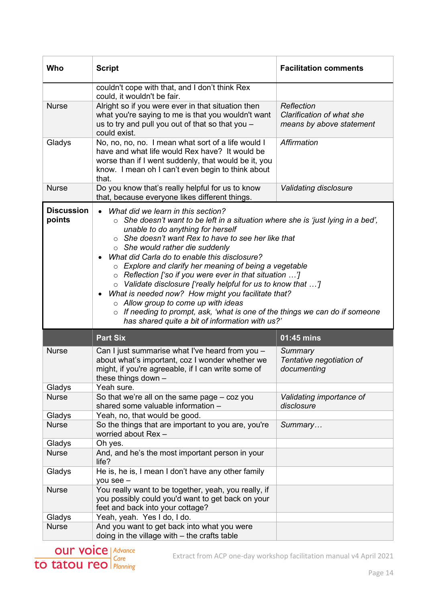| Who                         | <b>Script</b>                                                                                                                                                                                                                                                                                                                                                                                                                                                                                                                                                                                                                                                                                                                                                                         | <b>Facilitation comments</b>                                        |
|-----------------------------|---------------------------------------------------------------------------------------------------------------------------------------------------------------------------------------------------------------------------------------------------------------------------------------------------------------------------------------------------------------------------------------------------------------------------------------------------------------------------------------------------------------------------------------------------------------------------------------------------------------------------------------------------------------------------------------------------------------------------------------------------------------------------------------|---------------------------------------------------------------------|
|                             | couldn't cope with that, and I don't think Rex<br>could, it wouldn't be fair.                                                                                                                                                                                                                                                                                                                                                                                                                                                                                                                                                                                                                                                                                                         |                                                                     |
| <b>Nurse</b>                | Alright so if you were ever in that situation then<br>what you're saying to me is that you wouldn't want<br>us to try and pull you out of that so that you -<br>could exist.                                                                                                                                                                                                                                                                                                                                                                                                                                                                                                                                                                                                          | Reflection<br>Clarification of what she<br>means by above statement |
| Gladys                      | No, no, no, no. I mean what sort of a life would I<br>have and what life would Rex have? It would be<br>worse than if I went suddenly, that would be it, you<br>know. I mean oh I can't even begin to think about<br>that.                                                                                                                                                                                                                                                                                                                                                                                                                                                                                                                                                            | Affirmation                                                         |
| <b>Nurse</b>                | Do you know that's really helpful for us to know<br>that, because everyone likes different things.                                                                                                                                                                                                                                                                                                                                                                                                                                                                                                                                                                                                                                                                                    | Validating disclosure                                               |
| <b>Discussion</b><br>points | What did we learn in this section?<br>She doesn't want to be left in a situation where she is 'just lying in a bed',<br>$\circ$<br>unable to do anything for herself<br>$\circ$ She doesn't want Rex to have to see her like that<br>$\circ$ She would rather die suddenly<br>What did Carla do to enable this disclosure?<br>$\circ$ Explore and clarify her meaning of being a vegetable<br>$\circ$ Reflection ['so if you were ever in that situation ']<br>o Validate disclosure ['really helpful for us to know that ']<br>What is needed now? How might you facilitate that?<br>$\bullet$<br>$\circ$ Allow group to come up with ideas<br>$\circ$ If needing to prompt, ask, 'what is one of the things we can do if someone<br>has shared quite a bit of information with us?' |                                                                     |
|                             | <b>Part Six</b>                                                                                                                                                                                                                                                                                                                                                                                                                                                                                                                                                                                                                                                                                                                                                                       | $\overline{01:45}$ mins                                             |
| <b>Nurse</b>                | Can I just summarise what I've heard from you -<br>about what's important, coz I wonder whether we<br>might, if you're agreeable, if I can write some of<br>these things down -                                                                                                                                                                                                                                                                                                                                                                                                                                                                                                                                                                                                       | Summary<br>Tentative negotiation of<br>documenting                  |
| Gladys                      | Yeah sure.                                                                                                                                                                                                                                                                                                                                                                                                                                                                                                                                                                                                                                                                                                                                                                            |                                                                     |
| <b>Nurse</b>                | So that we're all on the same page – coz you<br>shared some valuable information -                                                                                                                                                                                                                                                                                                                                                                                                                                                                                                                                                                                                                                                                                                    | Validating importance of<br>disclosure                              |
| Gladys                      | Yeah, no, that would be good.                                                                                                                                                                                                                                                                                                                                                                                                                                                                                                                                                                                                                                                                                                                                                         |                                                                     |
| <b>Nurse</b>                | So the things that are important to you are, you're<br>worried about Rex-                                                                                                                                                                                                                                                                                                                                                                                                                                                                                                                                                                                                                                                                                                             | Summary                                                             |
| Gladys                      | Oh yes.                                                                                                                                                                                                                                                                                                                                                                                                                                                                                                                                                                                                                                                                                                                                                                               |                                                                     |
| <b>Nurse</b>                | And, and he's the most important person in your<br>life?                                                                                                                                                                                                                                                                                                                                                                                                                                                                                                                                                                                                                                                                                                                              |                                                                     |
| Gladys                      | He is, he is, I mean I don't have any other family<br>you see -                                                                                                                                                                                                                                                                                                                                                                                                                                                                                                                                                                                                                                                                                                                       |                                                                     |
| <b>Nurse</b>                | You really want to be together, yeah, you really, if<br>you possibly could you'd want to get back on your<br>feet and back into your cottage?                                                                                                                                                                                                                                                                                                                                                                                                                                                                                                                                                                                                                                         |                                                                     |
| Gladys                      | Yeah, yeah. Yes I do, I do.                                                                                                                                                                                                                                                                                                                                                                                                                                                                                                                                                                                                                                                                                                                                                           |                                                                     |
| <b>Nurse</b>                | And you want to get back into what you were<br>doing in the village with $-$ the crafts table                                                                                                                                                                                                                                                                                                                                                                                                                                                                                                                                                                                                                                                                                         |                                                                     |